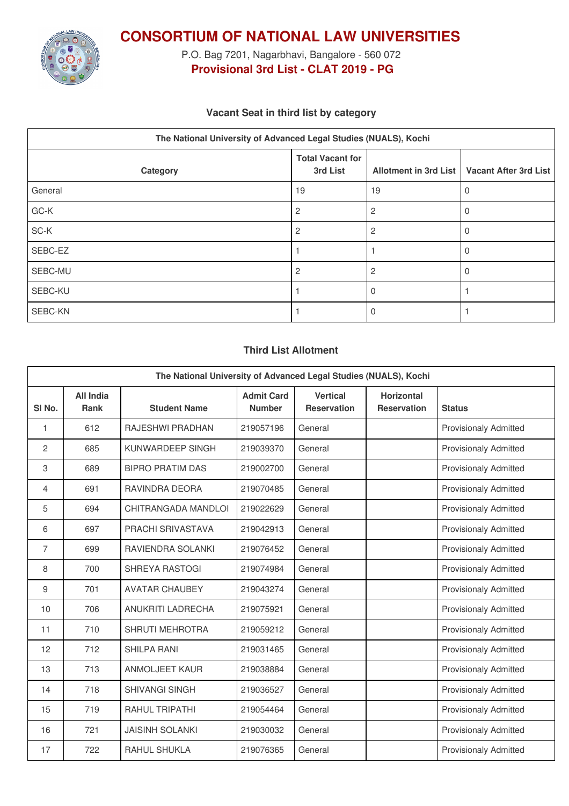

**CONSORTIUM OF NATIONAL LAW UNIVERSITIES**

P.O. Bag 7201, Nagarbhavi, Bangalore - 560 072 **Provisional 3rd List - CLAT 2019 - PG**

## **Vacant Seat in third list by category**

| The National University of Advanced Legal Studies (NUALS), Kochi |                                     |                       |                       |  |  |
|------------------------------------------------------------------|-------------------------------------|-----------------------|-----------------------|--|--|
| Category                                                         | <b>Total Vacant for</b><br>3rd List | Allotment in 3rd List | Vacant After 3rd List |  |  |
| General                                                          | 19                                  | 19                    |                       |  |  |
| GC-K                                                             | $\overline{c}$                      | 2                     |                       |  |  |
| SC-K                                                             | $\overline{2}$                      | 2                     |                       |  |  |
| SEBC-EZ                                                          |                                     |                       |                       |  |  |
| SEBC-MU                                                          | 2                                   |                       |                       |  |  |
| SEBC-KU                                                          |                                     |                       |                       |  |  |
| SEBC-KN                                                          |                                     |                       |                       |  |  |

### **Third List Allotment**

| The National University of Advanced Legal Studies (NUALS), Kochi |                                 |                         |                                    |                                       |                                         |                              |
|------------------------------------------------------------------|---------------------------------|-------------------------|------------------------------------|---------------------------------------|-----------------------------------------|------------------------------|
| SI <sub>No.</sub>                                                | <b>All India</b><br><b>Rank</b> | <b>Student Name</b>     | <b>Admit Card</b><br><b>Number</b> | <b>Vertical</b><br><b>Reservation</b> | <b>Horizontal</b><br><b>Reservation</b> | <b>Status</b>                |
| 1                                                                | 612                             | RAJESHWI PRADHAN        | 219057196                          | General                               |                                         | <b>Provisionaly Admitted</b> |
| $\overline{2}$                                                   | 685                             | KUNWARDEEP SINGH        | 219039370                          | General                               |                                         | <b>Provisionaly Admitted</b> |
| 3                                                                | 689                             | <b>BIPRO PRATIM DAS</b> | 219002700                          | General                               |                                         | <b>Provisionaly Admitted</b> |
| 4                                                                | 691                             | RAVINDRA DEORA          | 219070485                          | General                               |                                         | <b>Provisionaly Admitted</b> |
| 5                                                                | 694                             | CHITRANGADA MANDLOI     | 219022629                          | General                               |                                         | <b>Provisionaly Admitted</b> |
| 6                                                                | 697                             | PRACHI SRIVASTAVA       | 219042913                          | General                               |                                         | <b>Provisionaly Admitted</b> |
| $\overline{7}$                                                   | 699                             | RAVIENDRA SOLANKI       | 219076452                          | General                               |                                         | <b>Provisionaly Admitted</b> |
| 8                                                                | 700                             | <b>SHREYA RASTOGI</b>   | 219074984                          | General                               |                                         | <b>Provisionaly Admitted</b> |
| 9                                                                | 701                             | <b>AVATAR CHAUBEY</b>   | 219043274                          | General                               |                                         | <b>Provisionaly Admitted</b> |
| 10                                                               | 706                             | ANUKRITI LADRECHA       | 219075921                          | General                               |                                         | <b>Provisionaly Admitted</b> |
| 11                                                               | 710                             | <b>SHRUTI MEHROTRA</b>  | 219059212                          | General                               |                                         | <b>Provisionaly Admitted</b> |
| 12                                                               | 712                             | <b>SHILPA RANI</b>      | 219031465                          | General                               |                                         | <b>Provisionaly Admitted</b> |
| 13                                                               | 713                             | <b>ANMOLJEET KAUR</b>   | 219038884                          | General                               |                                         | <b>Provisionaly Admitted</b> |
| 14                                                               | 718                             | <b>SHIVANGI SINGH</b>   | 219036527                          | General                               |                                         | <b>Provisionaly Admitted</b> |
| 15                                                               | 719                             | <b>RAHUL TRIPATHI</b>   | 219054464                          | General                               |                                         | <b>Provisionaly Admitted</b> |
| 16                                                               | 721                             | <b>JAISINH SOLANKI</b>  | 219030032                          | General                               |                                         | <b>Provisionaly Admitted</b> |
| 17                                                               | 722                             | <b>RAHUL SHUKLA</b>     | 219076365                          | General                               |                                         | <b>Provisionaly Admitted</b> |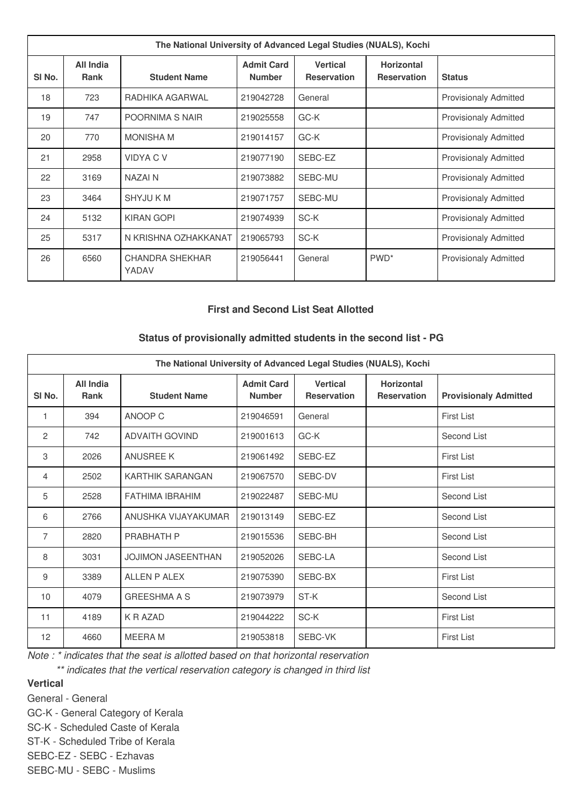| The National University of Advanced Legal Studies (NUALS), Kochi |                          |                          |                                    |                                       |                                         |                              |
|------------------------------------------------------------------|--------------------------|--------------------------|------------------------------------|---------------------------------------|-----------------------------------------|------------------------------|
| SI No.                                                           | All India<br><b>Rank</b> | <b>Student Name</b>      | <b>Admit Card</b><br><b>Number</b> | <b>Vertical</b><br><b>Reservation</b> | <b>Horizontal</b><br><b>Reservation</b> | <b>Status</b>                |
| 18                                                               | 723                      | RADHIKA AGARWAL          | 219042728                          | General                               |                                         | <b>Provisionaly Admitted</b> |
| 19                                                               | 747                      | POORNIMA S NAIR          | 219025558                          | GC-K                                  |                                         | <b>Provisionaly Admitted</b> |
| 20                                                               | 770                      | <b>MONISHA M</b>         | 219014157                          | GC-K                                  |                                         | <b>Provisionaly Admitted</b> |
| 21                                                               | 2958                     | <b>VIDYACV</b>           | 219077190                          | SEBC-EZ                               |                                         | <b>Provisionaly Admitted</b> |
| 22                                                               | 3169                     | NAZAI N                  | 219073882                          | SEBC-MU                               |                                         | <b>Provisionaly Admitted</b> |
| 23                                                               | 3464                     | <b>SHYJU K M</b>         | 219071757                          | SEBC-MU                               |                                         | <b>Provisionaly Admitted</b> |
| 24                                                               | 5132                     | <b>KIRAN GOPI</b>        | 219074939                          | SC-K                                  |                                         | <b>Provisionaly Admitted</b> |
| 25                                                               | 5317                     | N KRISHNA OZHAKKANAT     | 219065793                          | SC-K                                  |                                         | <b>Provisionaly Admitted</b> |
| 26                                                               | 6560                     | CHANDRA SHEKHAR<br>YADAV | 219056441                          | General                               | PWD <sup>*</sup>                        | <b>Provisionaly Admitted</b> |

#### **First and Second List Seat Allotted**

# **Status of provisionally admitted students in the second list - PG**

| The National University of Advanced Legal Studies (NUALS), Kochi |                          |                           |                                    |                                       |                                         |                              |
|------------------------------------------------------------------|--------------------------|---------------------------|------------------------------------|---------------------------------------|-----------------------------------------|------------------------------|
| SI No.                                                           | All India<br><b>Rank</b> | <b>Student Name</b>       | <b>Admit Card</b><br><b>Number</b> | <b>Vertical</b><br><b>Reservation</b> | <b>Horizontal</b><br><b>Reservation</b> | <b>Provisionaly Admitted</b> |
| 1                                                                | 394                      | ANOOP C                   | 219046591                          | General                               |                                         | First List                   |
| 2                                                                | 742                      | <b>ADVAITH GOVIND</b>     | 219001613                          | GC-K                                  |                                         | Second List                  |
| 3                                                                | 2026                     | <b>ANUSREE K</b>          | 219061492                          | SEBC-EZ                               |                                         | <b>First List</b>            |
| 4                                                                | 2502                     | <b>KARTHIK SARANGAN</b>   | 219067570                          | SEBC-DV                               |                                         | First List                   |
| 5                                                                | 2528                     | <b>FATHIMA IBRAHIM</b>    | 219022487                          | SEBC-MU                               |                                         | Second List                  |
| 6                                                                | 2766                     | ANUSHKA VIJAYAKUMAR       | 219013149                          | SEBC-EZ                               |                                         | Second List                  |
| $\overline{7}$                                                   | 2820                     | PRABHATH P                | 219015536                          | SEBC-BH                               |                                         | Second List                  |
| 8                                                                | 3031                     | <b>JOJIMON JASEENTHAN</b> | 219052026                          | SEBC-LA                               |                                         | Second List                  |
| 9                                                                | 3389                     | ALLEN P ALEX              | 219075390                          | SEBC-BX                               |                                         | First List                   |
| 10                                                               | 4079                     | <b>GREESHMA A S</b>       | 219073979                          | ST-K                                  |                                         | Second List                  |
| 11                                                               | 4189                     | K R AZAD                  | 219044222                          | SC-K                                  |                                         | <b>First List</b>            |
| 12                                                               | 4660                     | <b>MEERAM</b>             | 219053818                          | SEBC-VK                               |                                         | First List                   |

*Note : \* indicates that the seat is allotted based on that horizontal reservation*

*\*\* indicates that the vertical reservation category is changed in third list*

## **Vertical**

General - General

GC-K - General Category of Kerala

SC-K - Scheduled Caste of Kerala

ST-K - Scheduled Tribe of Kerala

SEBC-EZ - SEBC - Ezhavas

SEBC-MU - SEBC - Muslims